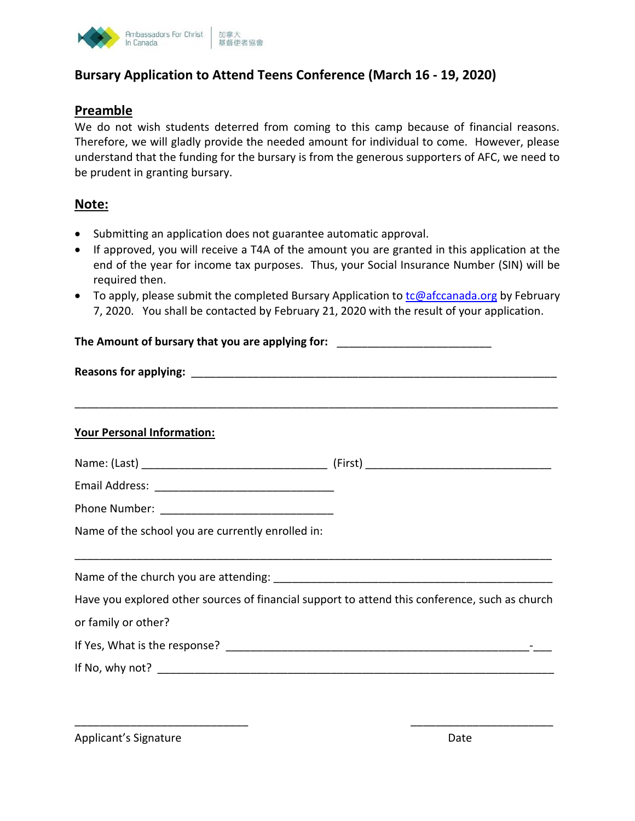

## **Bursary Application to Attend Teens Conference (March 16 - 19, 2020)**

## **Preamble**

We do not wish students deterred from coming to this camp because of financial reasons. Therefore, we will gladly provide the needed amount for individual to come. However, please understand that the funding for the bursary is from the generous supporters of AFC, we need to be prudent in granting bursary.

## **Note:**

- Submitting an application does not guarantee automatic approval.
- If approved, you will receive a T4A of the amount you are granted in this application at the end of the year for income tax purposes. Thus, your Social Insurance Number (SIN) will be required then.
- To apply, please submit the completed Bursary Application to  $tc@afccanada.org$  by February 7, 2020. You shall be contacted by February 21, 2020 with the result of your application.

| The Amount of bursary that you are applying for: _______________________________                                      |  |  |  |
|-----------------------------------------------------------------------------------------------------------------------|--|--|--|
|                                                                                                                       |  |  |  |
|                                                                                                                       |  |  |  |
| <b>Your Personal Information:</b>                                                                                     |  |  |  |
|                                                                                                                       |  |  |  |
|                                                                                                                       |  |  |  |
|                                                                                                                       |  |  |  |
| Name of the school you are currently enrolled in:                                                                     |  |  |  |
| <u> 1989 - Jan Barnett, mars ann an t-aistean an t-aistean an t-aistean an t-aistean an t-aistean an t-aistean an</u> |  |  |  |
| Have you explored other sources of financial support to attend this conference, such as church                        |  |  |  |
| or family or other?                                                                                                   |  |  |  |
|                                                                                                                       |  |  |  |
|                                                                                                                       |  |  |  |
|                                                                                                                       |  |  |  |

\_\_\_\_\_\_\_\_\_\_\_\_\_\_\_\_\_\_\_\_\_\_\_\_\_\_\_\_ \_\_\_\_\_\_\_\_\_\_\_\_\_\_\_\_\_\_\_\_\_\_\_

Applicant's Signature **Date** Date of **Date** Date of *Date* Date of *Date* Date of *Date*